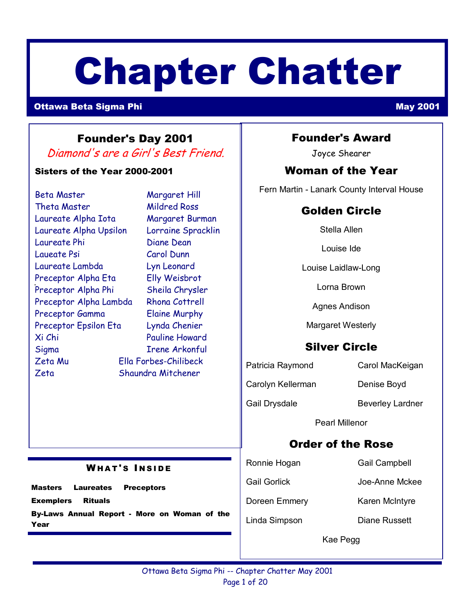# Chapter Chatter

#### **Ottawa Beta Sigma Phi** May 2001 **May 2001**

## Founder's Day 2001

Diamond's are a Girl's Best Friend.

#### Sisters of the Year 2000-2001

| Beta Master            | Margaret Hill         |
|------------------------|-----------------------|
| Theta Master           | <b>Mildred Ross</b>   |
| Laureate Alpha Iota    | Margaret Burman       |
| Laureate Alpha Upsilon | Lorraine Spracklin    |
| Laureate Phi           | <b>Diane Dean</b>     |
| Laueate Psi            | Carol Dunn            |
| Laureate Lambda        | Lyn Leonard           |
| Preceptor Alpha Eta    | <b>Elly Weisbrot</b>  |
| Preceptor Alpha Phi    | Sheila Chrysler       |
| Preceptor Alpha Lambda | Rhona Cottrell        |
| Preceptor Gamma        | <b>Elaine Murphy</b>  |
| Preceptor Epsilon Eta  | Lynda Chenier         |
| Xi Chi                 | <b>Pauline Howard</b> |
| Sigma                  | Irene Arkonful        |
| Zeta Mu                | Ella Forbes-Chilibeck |
| Zeta                   | Shaundra Mitchener    |
|                        |                       |

**WHAT'S INSIDE** 

By-Laws Annual Report - More on Woman of the

Masters Laureates Preceptors

Exemplers Rituals

Year

#### Founder's Award

Joyce Shearer

#### Woman of the Year

Fern Martin - Lanark County Interval House

## Golden Circle

Stella Allen

Louise Ide

Louise Laidlaw-Long

Lorna Brown

Agnes Andison

Margaret Westerly

## Silver Circle

Patricia Raymond Carol MacKeigan

Carolyn Kellerman Denise Boyd

Gail Drysdale Beverley Lardner

Pearl Millenor

## Order of the Rose

Ronnie Hogan Gail Campbell

Gail Gorlick **Joe-Anne Mckee** 

Doreen Emmery Karen McIntyre

Linda Simpson Diane Russett

Kae Pegg

#### Ottawa Beta Sigma Phi -- Chapter Chatter May 2001 Page 1 of 20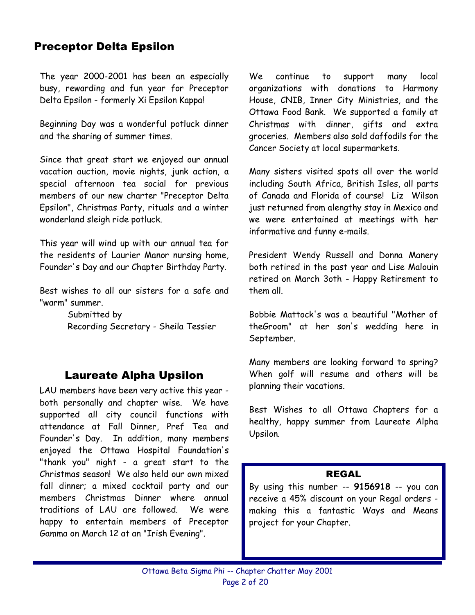## Preceptor Delta Epsilon

The year 2000-2001 has been an especially busy, rewarding and fun year for Preceptor Delta Epsilon - formerly Xi Epsilon Kappa!

Beginning Day was a wonderful potluck dinner and the sharing of summer times.

Since that great start we enjoyed our annual vacation auction, movie nights, junk action, a special afternoon tea social for previous members of our new charter "Preceptor Delta Epsilon", Christmas Party, rituals and a winter wonderland sleigh ride potluck.

This year will wind up with our annual tea for the residents of Laurier Manor nursing home, Founder's Day and our Chapter Birthday Party.

Best wishes to all our sisters for a safe and "warm" summer.

> Submitted by Recording Secretary - Sheila Tessier

## Laureate Alpha Upsilon

LAU members have been very active this year both personally and chapter wise. We have supported all city council functions with attendance at Fall Dinner, Pref Tea and Founder's Day. In addition, many members enjoyed the Ottawa Hospital Foundation's "thank you" night - a great start to the Christmas season! We also held our own mixed fall dinner; a mixed cocktail party and our members Christmas Dinner where annual traditions of LAU are followed. We were happy to entertain members of Preceptor Gamma on March 12 at an "Irish Evening".

We continue to support many local organizations with donations to Harmony House, CNIB, Inner City Ministries, and the Ottawa Food Bank. We supported a family at Christmas with dinner, gifts and extra groceries. Members also sold daffodils for the Cancer Society at local supermarkets.

Many sisters visited spots all over the world including South Africa, British Isles, all parts of Canada and Florida of course! Liz Wilson just returned from alengthy stay in Mexico and we were entertained at meetings with her informative and funny e-mails.

President Wendy Russell and Donna Manery both retired in the past year and Lise Malouin retired on March 3oth - Happy Retirement to them all.

Bobbie Mattock's was a beautiful "Mother of theGroom" at her son's wedding here in September.

Many members are looking forward to spring? When golf will resume and others will be planning their vacations.

Best Wishes to all Ottawa Chapters for a healthy, happy summer from Laureate Alpha Upsilon.

#### REGAL

By using this number -- **9156918** -- you can receive a 45% discount on your Regal orders making this a fantastic Ways and Means project for your Chapter.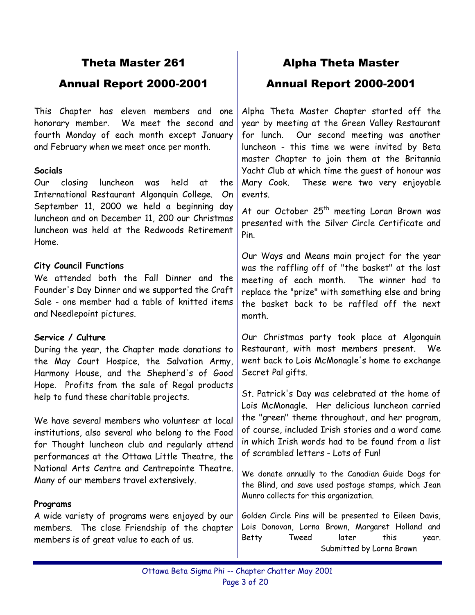## Theta Master 261

## Annual Report 2000-2001

This Chapter has eleven members and one honorary member. We meet the second and fourth Monday of each month except January and February when we meet once per month.

#### **Socials**

Our closing luncheon was held at the International Restaurant Algonquin College. On September 11, 2000 we held a beginning day luncheon and on December 11, 200 our Christmas luncheon was held at the Redwoods Retirement Home.

#### **City Council Functions**

We attended both the Fall Dinner and the Founder's Day Dinner and we supported the Craft Sale - one member had a table of knitted items and Needlepoint pictures.

#### **Service / Culture**

During the year, the Chapter made donations to the May Court Hospice, the Salvation Army, Harmony House, and the Shepherd's of Good Hope. Profits from the sale of Regal products help to fund these charitable projects.

We have several members who volunteer at local institutions, also several who belong to the Food for Thought luncheon club and regularly attend performances at the Ottawa Little Theatre, the National Arts Centre and Centrepointe Theatre. Many of our members travel extensively.

#### **Programs**

A wide variety of programs were enjoyed by our members. The close Friendship of the chapter members is of great value to each of us.

## Alpha Theta Master Annual Report 2000-2001

Alpha Theta Master Chapter started off the year by meeting at the Green Valley Restaurant for lunch. Our second meeting was another luncheon - this time we were invited by Beta master Chapter to join them at the Britannia Yacht Club at which time the guest of honour was Mary Cook. These were two very enjoyable events.

At our October 25<sup>th</sup> meeting Loran Brown was presented with the Silver Circle Certificate and Pin.

Our Ways and Means main project for the year was the raffling off of "the basket" at the last meeting of each month. The winner had to replace the "prize" with something else and bring the basket back to be raffled off the next month.

Our Christmas party took place at Algonquin Restaurant, with most members present. We went back to Lois McMonagle's home to exchange Secret Pal gifts.

St. Patrick's Day was celebrated at the home of Lois McMonagle. Her delicious luncheon carried the "green" theme throughout, and her program, of course, included Irish stories and a word came in which Irish words had to be found from a list of scrambled letters - Lots of Fun!

We donate annually to the Canadian Guide Dogs for the Blind, and save used postage stamps, which Jean Munro collects for this organization.

Golden Circle Pins will be presented to Eileen Davis, Lois Donovan, Lorna Brown, Margaret Holland and Betty Tweed later this year. Submitted by Lorna Brown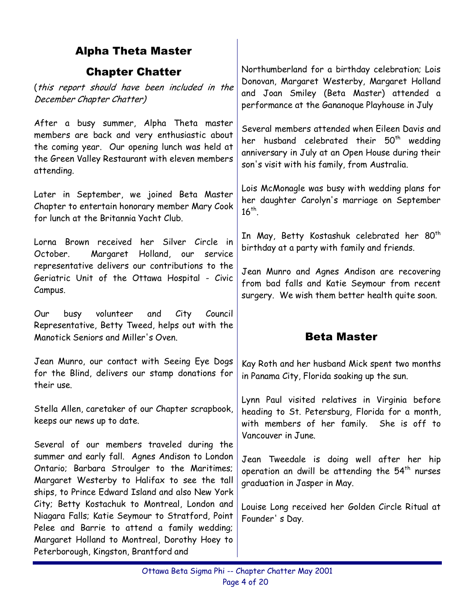## Alpha Theta Master

#### Chapter Chatter

(this report should have been included in the December Chapter Chatter)

After a busy summer, Alpha Theta master members are back and very enthusiastic about the coming year. Our opening lunch was held at the Green Valley Restaurant with eleven members attending.

Later in September, we joined Beta Master Chapter to entertain honorary member Mary Cook for lunch at the Britannia Yacht Club.

Lorna Brown received her Silver Circle in October. Margaret Holland, our service representative delivers our contributions to the Geriatric Unit of the Ottawa Hospital - Civic Campus.

Our busy volunteer and City Council Representative, Betty Tweed, helps out with the Manotick Seniors and Miller's Oven.

Jean Munro, our contact with Seeing Eye Dogs for the Blind, delivers our stamp donations for their use.

Stella Allen, caretaker of our Chapter scrapbook, keeps our news up to date.

Several of our members traveled during the summer and early fall. Agnes Andison to London Ontario; Barbara Stroulger to the Maritimes; Margaret Westerby to Halifax to see the tall ships, to Prince Edward Island and also New York City; Betty Kostachuk to Montreal, London and Niagara Falls; Katie Seymour to Stratford, Point Pelee and Barrie to attend a family wedding; Margaret Holland to Montreal, Dorothy Hoey to Peterborough, Kingston, Brantford and

Northumberland for a birthday celebration; Lois Donovan, Margaret Westerby, Margaret Holland and Joan Smiley (Beta Master) attended a performance at the Gananoque Playhouse in July

Several members attended when Eileen Davis and her husband celebrated their  $50<sup>th</sup>$  wedding anniversary in July at an Open House during their son's visit with his family, from Australia.

Lois McMonagle was busy with wedding plans for her daughter Carolyn's marriage on September  $16^{th}$ 

In May, Betty Kostashuk celebrated her 80<sup>th</sup> birthday at a party with family and friends.

Jean Munro and Agnes Andison are recovering from bad falls and Katie Seymour from recent surgery. We wish them better health quite soon.

## Beta Master

Kay Roth and her husband Mick spent two months in Panama City, Florida soaking up the sun.

Lynn Paul visited relatives in Virginia before heading to St. Petersburg, Florida for a month, with members of her family. She is off to Vancouver in June.

Jean Tweedale is doing well after her hip operation an dwill be attending the  $54^{\text{th}}$  nurses graduation in Jasper in May.

Louise Long received her Golden Circle Ritual at Founder' s Day.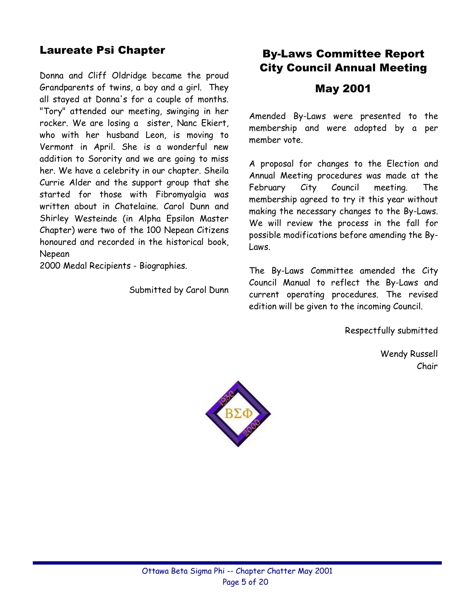## Laureate Psi Chapter

Donna and Cliff Oldridge became the proud Grandparents of twins, a boy and a girl. They all stayed at Donna's for a couple of months. "Tory" attended our meeting, swinging in her rocker. We are losing a sister, Nanc Ekiert, who with her husband Leon, is moving to Vermont in April. She is a wonderful new addition to Sorority and we are going to miss her. We have a celebrity in our chapter. Sheila Currie Alder and the support group that she started for those with Fibromyalgia was written about in Chatelaine. Carol Dunn and Shirley Westeinde (in Alpha Epsilon Master Chapter) were two of the 100 Nepean Citizens honoured and recorded in the historical book, Nepean

2000 Medal Recipients - Biographies.

Submitted by Carol Dunn

## By-Laws Committee Report City Council Annual Meeting

#### May 2001

Amended By-Laws were presented to the membership and were adopted by a per member vote.

A proposal for changes to the Election and Annual Meeting procedures was made at the February City Council meeting. The membership agreed to try it this year without making the necessary changes to the By-Laws. We will review the process in the fall for possible modifications before amending the By-Laws.

The By-Laws Committee amended the City Council Manual to reflect the By-Laws and current operating procedures. The revised edition will be given to the incoming Council.

Respectfully submitted

Wendy Russell Chair

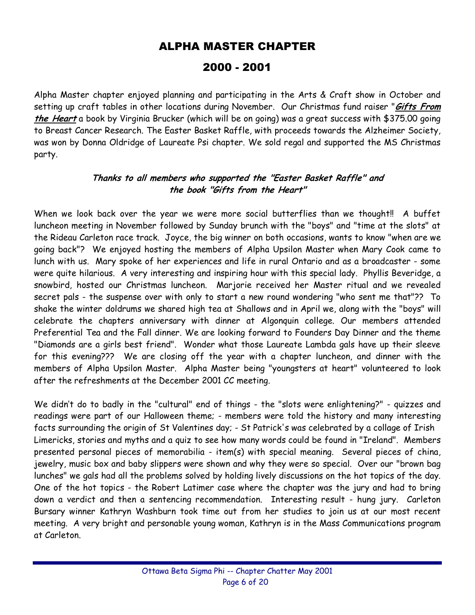## ALPHA MASTER CHAPTER

## 2000 - 2001

Alpha Master chapter enjoyed planning and participating in the Arts & Craft show in October and setting up craft tables in other locations during November. Our Christmas fund raiser "**Gifts From the Heart** a book by Virginia Brucker (which will be on going) was a great success with \$375.00 going to Breast Cancer Research. The Easter Basket Raffle, with proceeds towards the Alzheimer Society, was won by Donna Oldridge of Laureate Psi chapter. We sold regal and supported the MS Christmas party.

#### **Thanks to all members who supported the "Easter Basket Raffle" and the book "Gifts from the Heart"**

When we look back over the year we were more social butterflies than we thought!! A buffet luncheon meeting in November followed by Sunday brunch with the "boys" and "time at the slots" at the Rideau Carleton race track. Joyce, the big winner on both occasions, wants to know "when are we going back"? We enjoyed hosting the members of Alpha Upsilon Master when Mary Cook came to lunch with us. Mary spoke of her experiences and life in rural Ontario and as a broadcaster - some were quite hilarious. A very interesting and inspiring hour with this special lady. Phyllis Beveridge, a snowbird, hosted our Christmas luncheon. Marjorie received her Master ritual and we revealed secret pals - the suspense over with only to start a new round wondering "who sent me that"?? To shake the winter doldrums we shared high tea at Shallows and in April we, along with the "boys" will celebrate the chapters anniversary with dinner at Algonquin college. Our members attended Preferential Tea and the Fall dinner. We are looking forward to Founders Day Dinner and the theme "Diamonds are a girls best friend". Wonder what those Laureate Lambda gals have up their sleeve for this evening??? We are closing off the year with a chapter luncheon, and dinner with the members of Alpha Upsilon Master. Alpha Master being "youngsters at heart" volunteered to look after the refreshments at the December 2001 CC meeting.

We didn't do to badly in the "cultural" end of things - the "slots were enlightening?" - quizzes and readings were part of our Halloween theme; - members were told the history and many interesting facts surrounding the origin of St Valentines day; - St Patrick's was celebrated by a collage of Irish Limericks, stories and myths and a quiz to see how many words could be found in "Ireland". Members presented personal pieces of memorabilia - item(s) with special meaning. Several pieces of china, jewelry, music box and baby slippers were shown and why they were so special. Over our "brown bag lunches" we gals had all the problems solved by holding lively discussions on the hot topics of the day. One of the hot topics - the Robert Latimer case where the chapter was the jury and had to bring down a verdict and then a sentencing recommendation. Interesting result - hung jury. Carleton Bursary winner Kathryn Washburn took time out from her studies to join us at our most recent meeting. A very bright and personable young woman, Kathryn is in the Mass Communications program at Carleton.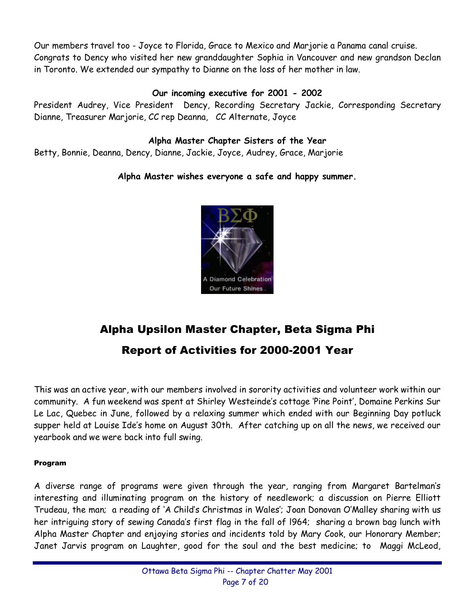Our members travel too - Joyce to Florida, Grace to Mexico and Marjorie a Panama canal cruise. Congrats to Dency who visited her new granddaughter Sophia in Vancouver and new grandson Declan in Toronto. We extended our sympathy to Dianne on the loss of her mother in law.

#### **Our incoming executive for 2001 - 2002**

President Audrey, Vice President Dency, Recording Secretary Jackie, Corresponding Secretary Dianne, Treasurer Marjorie, CC rep Deanna, CC Alternate, Joyce

#### **Alpha Master Chapter Sisters of the Year**

Betty, Bonnie, Deanna, Dency, Dianne, Jackie, Joyce, Audrey, Grace, Marjorie

#### **Alpha Master wishes everyone a safe and happy summer.**



## Alpha Upsilon Master Chapter, Beta Sigma Phi Report of Activities for 2000-2001 Year

This was an active year, with our members involved in sorority activities and volunteer work within our community. A fun weekend was spent at Shirley Westeinde's cottage 'Pine Point', Domaine Perkins Sur Le Lac, Quebec in June, followed by a relaxing summer which ended with our Beginning Day potluck supper held at Louise Ide's home on August 30th. After catching up on all the news, we received our yearbook and we were back into full swing.

#### Program

A diverse range of programs were given through the year, ranging from Margaret Bartelmanís interesting and illuminating program on the history of needlework; a discussion on Pierre Elliott Trudeau, the man; a reading of 'A Child's Christmas in Wales'; Joan Donovan O'Malley sharing with us her intriguing story of sewing Canadaís first flag in the fall of l964; sharing a brown bag lunch with Alpha Master Chapter and enjoying stories and incidents told by Mary Cook, our Honorary Member; Janet Jarvis program on Laughter, good for the soul and the best medicine; to Maggi McLeod,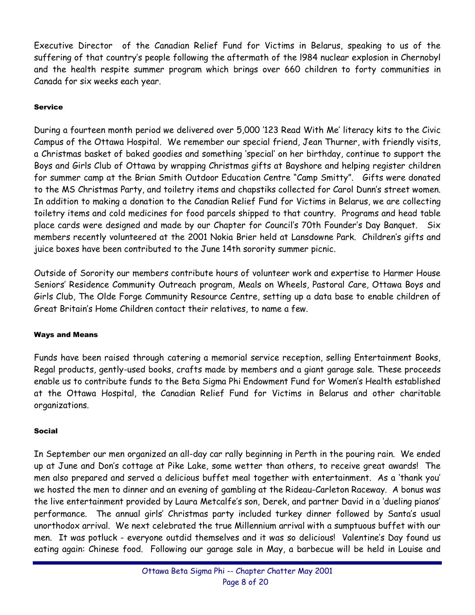Executive Director of the Canadian Relief Fund for Victims in Belarus, speaking to us of the suffering of that countryís people following the aftermath of the l984 nuclear explosion in Chernobyl and the health respite summer program which brings over 660 children to forty communities in Canada for six weeks each year.

#### Service

During a fourteen month period we delivered over 5,000 '123 Read With Me' literacy kits to the Civic Campus of the Ottawa Hospital. We remember our special friend, Jean Thurner, with friendly visits, a Christmas basket of baked goodies and something 'special' on her birthday, continue to support the Boys and Girls Club of Ottawa by wrapping Christmas gifts at Bayshore and helping register children for summer camp at the Brian Smith Outdoor Education Centre "Camp Smitty". Gifts were donated to the MS Christmas Party, and toiletry items and chapstiks collected for Carol Dunnís street women. In addition to making a donation to the Canadian Relief Fund for Victims in Belarus, we are collecting toiletry items and cold medicines for food parcels shipped to that country. Programs and head table place cards were designed and made by our Chapter for Council's 70th Founder's Day Banquet. Six members recently volunteered at the 2001 Nokia Brier held at Lansdowne Park. Childrenís gifts and juice boxes have been contributed to the June 14th sorority summer picnic.

Outside of Sorority our members contribute hours of volunteer work and expertise to Harmer House Seniorsí Residence Community Outreach program, Meals on Wheels, Pastoral Care, Ottawa Boys and Girls Club, The Olde Forge Community Resource Centre, setting up a data base to enable children of Great Britainís Home Children contact their relatives, to name a few.

#### Ways and Means

Funds have been raised through catering a memorial service reception, selling Entertainment Books, Regal products, gently-used books, crafts made by members and a giant garage sale. These proceeds enable us to contribute funds to the Beta Sigma Phi Endowment Fund for Womenís Health established at the Ottawa Hospital, the Canadian Relief Fund for Victims in Belarus and other charitable organizations.

#### Social

In September our men organized an all-day car rally beginning in Perth in the pouring rain. We ended up at June and Donís cottage at Pike Lake, some wetter than others, to receive great awards! The men also prepared and served a delicious buffet meal together with entertainment. As a 'thank you' we hosted the men to dinner and an evening of gambling at the Rideau-Carleton Raceway. A bonus was the live entertainment provided by Laura Metcalfe's son, Derek, and partner David in a 'dueling pianos' performance. The annual girls' Christmas party included turkey dinner followed by Santa's usual unorthodox arrival. We next celebrated the true Millennium arrival with a sumptuous buffet with our men. It was potluck - everyone outdid themselves and it was so delicious! Valentineís Day found us eating again: Chinese food. Following our garage sale in May, a barbecue will be held in Louise and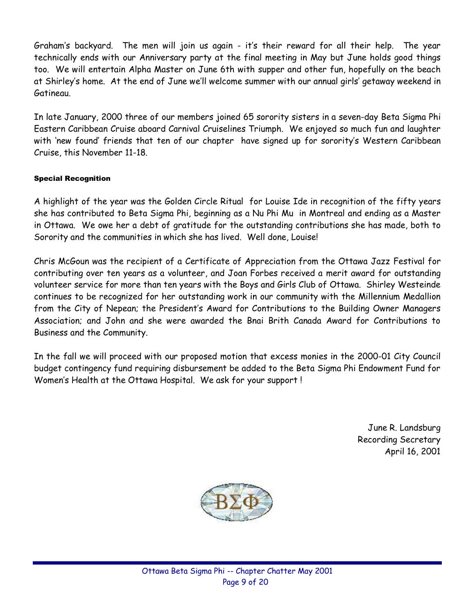Grahamís backyard. The men will join us again - itís their reward for all their help. The year technically ends with our Anniversary party at the final meeting in May but June holds good things too. We will entertain Alpha Master on June 6th with supper and other fun, hopefully on the beach at Shirley's home. At the end of June we'll welcome summer with our annual girls' getaway weekend in Gatineau.

In late January, 2000 three of our members joined 65 sorority sisters in a seven-day Beta Sigma Phi Eastern Caribbean Cruise aboard Carnival Cruiselines Triumph. We enjoyed so much fun and laughter with 'new found' friends that ten of our chapter have signed up for sorority's Western Caribbean Cruise, this November 11-18.

#### Special Recognition

A highlight of the year was the Golden Circle Ritual for Louise Ide in recognition of the fifty years she has contributed to Beta Sigma Phi, beginning as a Nu Phi Mu in Montreal and ending as a Master in Ottawa. We owe her a debt of gratitude for the outstanding contributions she has made, both to Sorority and the communities in which she has lived. Well done, Louise!

Chris McGoun was the recipient of a Certificate of Appreciation from the Ottawa Jazz Festival for contributing over ten years as a volunteer, and Joan Forbes received a merit award for outstanding volunteer service for more than ten years with the Boys and Girls Club of Ottawa. Shirley Westeinde continues to be recognized for her outstanding work in our community with the Millennium Medallion from the City of Nepean; the President's Award for Contributions to the Building Owner Managers Association; and John and she were awarded the Bnai Brith Canada Award for Contributions to Business and the Community.

In the fall we will proceed with our proposed motion that excess monies in the 2000-01 City Council budget contingency fund requiring disbursement be added to the Beta Sigma Phi Endowment Fund for Womenís Health at the Ottawa Hospital. We ask for your support !

> June R. Landsburg Recording Secretary April 16, 2001

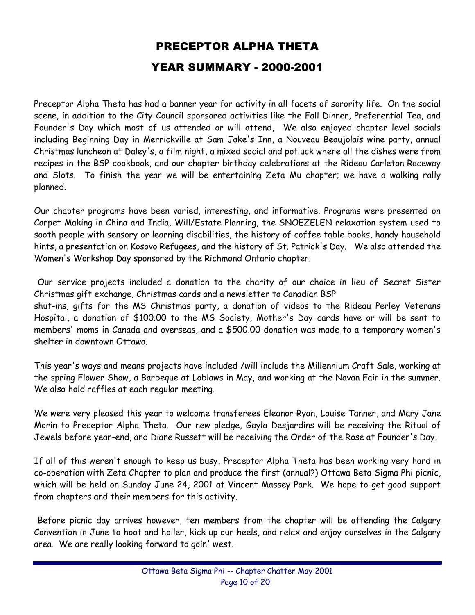## PRECEPTOR ALPHA THETA YEAR SUMMARY - 2000-2001

Preceptor Alpha Theta has had a banner year for activity in all facets of sorority life. On the social scene, in addition to the City Council sponsored activities like the Fall Dinner, Preferential Tea, and Founder's Day which most of us attended or will attend, We also enjoyed chapter level socials including Beginning Day in Merrickville at Sam Jake's Inn, a Nouveau Beaujolais wine party, annual Christmas luncheon at Daley's, a film night, a mixed social and potluck where all the dishes were from recipes in the BSP cookbook, and our chapter birthday celebrations at the Rideau Carleton Raceway and Slots. To finish the year we will be entertaining Zeta Mu chapter; we have a walking rally planned.

Our chapter programs have been varied, interesting, and informative. Programs were presented on Carpet Making in China and India, Will/Estate Planning, the SNOEZELEN relaxation system used to sooth people with sensory or learning disabilities, the history of coffee table books, handy household hints, a presentation on Kosovo Refugees, and the history of St. Patrick's Day. We also attended the Women's Workshop Day sponsored by the Richmond Ontario chapter.

Our service projects included a donation to the charity of our choice in lieu of Secret Sister Christmas gift exchange, Christmas cards and a newsletter to Canadian BSP shut-ins, gifts for the MS Christmas party, a donation of videos to the Rideau Perley Veterans Hospital, a donation of \$100.00 to the MS Society, Mother's Day cards have or will be sent to members' moms in Canada and overseas, and a \$500.00 donation was made to a temporary women's shelter in downtown Ottawa.

This year's ways and means projects have included /will include the Millennium Craft Sale, working at the spring Flower Show, a Barbeque at Loblaws in May, and working at the Navan Fair in the summer. We also hold raffles at each regular meeting.

We were very pleased this year to welcome transferees Eleanor Ryan, Louise Tanner, and Mary Jane Morin to Preceptor Alpha Theta. Our new pledge, Gayla Desjardins will be receiving the Ritual of Jewels before year-end, and Diane Russett will be receiving the Order of the Rose at Founder's Day.

If all of this weren't enough to keep us busy, Preceptor Alpha Theta has been working very hard in co-operation with Zeta Chapter to plan and produce the first (annual?) Ottawa Beta Sigma Phi picnic, which will be held on Sunday June 24, 2001 at Vincent Massey Park. We hope to get good support from chapters and their members for this activity.

Before picnic day arrives however, ten members from the chapter will be attending the Calgary Convention in June to hoot and holler, kick up our heels, and relax and enjoy ourselves in the Calgary area. We are really looking forward to goin' west.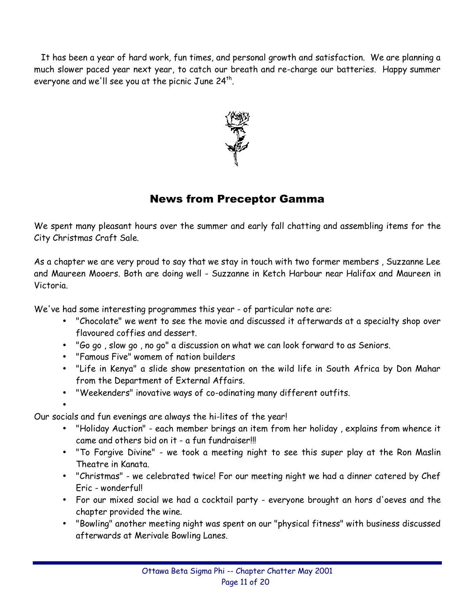It has been a year of hard work, fun times, and personal growth and satisfaction. We are planning a much slower paced year next year, to catch our breath and re-charge our batteries. Happy summer everyone and we'll see you at the picnic June  $24^{th}$ .



## News from Preceptor Gamma

We spent many pleasant hours over the summer and early fall chatting and assembling items for the City Christmas Craft Sale.

As a chapter we are very proud to say that we stay in touch with two former members , Suzzanne Lee and Maureen Mooers. Both are doing well - Suzzanne in Ketch Harbour near Halifax and Maureen in Victoria.

We've had some interesting programmes this year - of particular note are:

- "Chocolate" we went to see the movie and discussed it afterwards at a specialty shop over flavoured coffies and dessert.
- "Go go , slow go , no go" a discussion on what we can look forward to as Seniors.
- "Famous Five" womem of nation builders
- "Life in Kenya" a slide show presentation on the wild life in South Africa by Don Mahar from the Department of External Affairs.
- "Weekenders" inovative ways of co-odinating many different outfits.

•

Our socials and fun evenings are always the hi-lites of the year!

- "Holiday Auction" each member brings an item from her holiday , explains from whence it came and others bid on it - a fun fundraiser!!!
- "To Forgive Divine" we took a meeting night to see this super play at the Ron Maslin Theatre in Kanata.
- "Christmas" we celebrated twice! For our meeting night we had a dinner catered by Chef Eric - wonderful!
- For our mixed social we had a cocktail party everyone brought an hors d'oeves and the chapter provided the wine.
- "Bowling" another meeting night was spent on our "physical fitness" with business discussed afterwards at Merivale Bowling Lanes.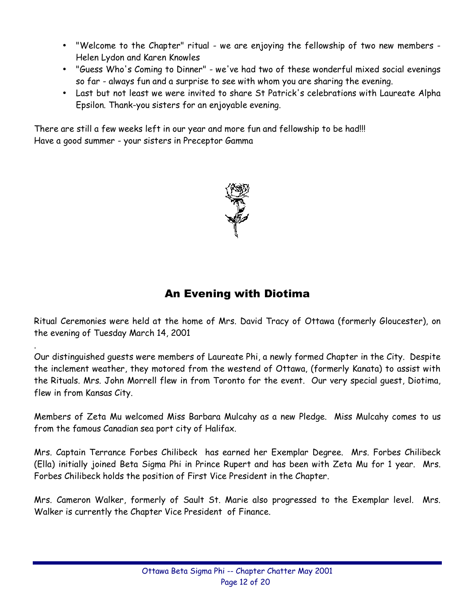- "Welcome to the Chapter" ritual we are enjoying the fellowship of two new members Helen Lydon and Karen Knowles
- "Guess Who's Coming to Dinner" we've had two of these wonderful mixed social evenings so far - always fun and a surprise to see with whom you are sharing the evening.
- Last but not least we were invited to share St Patrick's celebrations with Laureate Alpha Epsilon. Thank-you sisters for an enjoyable evening.

There are still a few weeks left in our year and more fun and fellowship to be had!!! Have a good summer - your sisters in Preceptor Gamma



## An Evening with Diotima

Ritual Ceremonies were held at the home of Mrs. David Tracy of Ottawa (formerly Gloucester), on the evening of Tuesday March 14, 2001

.

Our distinguished guests were members of Laureate Phi, a newly formed Chapter in the City. Despite the inclement weather, they motored from the westend of Ottawa, (formerly Kanata) to assist with the Rituals. Mrs. John Morrell flew in from Toronto for the event. Our very special guest, Diotima, flew in from Kansas City.

Members of Zeta Mu welcomed Miss Barbara Mulcahy as a new Pledge. Miss Mulcahy comes to us from the famous Canadian sea port city of Halifax.

Mrs. Captain Terrance Forbes Chilibeck has earned her Exemplar Degree. Mrs. Forbes Chilibeck (Ella) initially joined Beta Sigma Phi in Prince Rupert and has been with Zeta Mu for 1 year. Mrs. Forbes Chilibeck holds the position of First Vice President in the Chapter.

Mrs. Cameron Walker, formerly of Sault St. Marie also progressed to the Exemplar level. Mrs. Walker is currently the Chapter Vice President of Finance.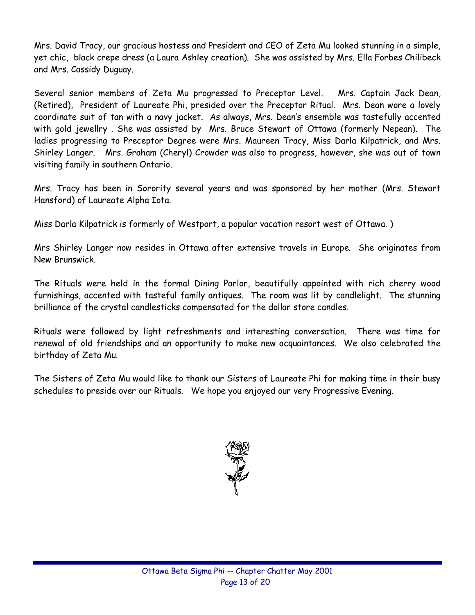Mrs. David Tracy, our gracious hostess and President and CEO of Zeta Mu looked stunning in a simple, yet chic, black crepe dress (a Laura Ashley creation). She was assisted by Mrs. Ella Forbes Chilibeck and Mrs. Cassidy Duguay.

Several senior members of Zeta Mu progressed to Preceptor Level. Mrs. Captain Jack Dean, (Retired), President of Laureate Phi, presided over the Preceptor Ritual. Mrs. Dean wore a lovely coordinate suit of tan with a navy jacket. As always, Mrs. Deanís ensemble was tastefully accented with gold jewellry . She was assisted by Mrs. Bruce Stewart of Ottawa (formerly Nepean). The ladies progressing to Preceptor Degree were Mrs. Maureen Tracy, Miss Darla Kilpatrick, and Mrs. Shirley Langer. Mrs. Graham (Cheryl) Crowder was also to progress, however, she was out of town visiting family in southern Ontario.

Mrs. Tracy has been in Sorority several years and was sponsored by her mother (Mrs. Stewart Hansford) of Laureate Alpha Iota.

Miss Darla Kilpatrick is formerly of Westport, a popular vacation resort west of Ottawa. )

Mrs Shirley Langer now resides in Ottawa after extensive travels in Europe. She originates from New Brunswick.

The Rituals were held in the formal Dining Parlor, beautifully appointed with rich cherry wood furnishings, accented with tasteful family antiques. The room was lit by candlelight. The stunning brilliance of the crystal candlesticks compensated for the dollar store candles.

Rituals were followed by light refreshments and interesting conversation. There was time for renewal of old friendships and an opportunity to make new acquaintances. We also celebrated the birthday of Zeta Mu.

The Sisters of Zeta Mu would like to thank our Sisters of Laureate Phi for making time in their busy schedules to preside over our Rituals. We hope you enjoyed our very Progressive Evening.

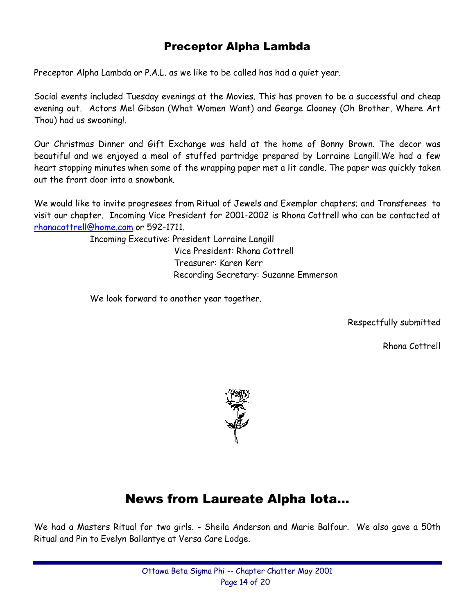## Preceptor Alpha Lambda

Preceptor Alpha Lambda or P.A.L. as we like to be called has had a quiet year.

Social events included Tuesday evenings at the Movies. This has proven to be a successful and cheap evening out. Actors Mel Gibson (What Women Want) and George Clooney (Oh Brother, Where Art Thou) had us swooning!.

Our Christmas Dinner and Gift Exchange was held at the home of Bonny Brown. The decor was beautiful and we enjoyed a meal of stuffed partridge prepared by Lorraine Langill.We had a few heart stopping minutes when some of the wrapping paper met a lit candle. The paper was quickly taken out the front door into a snowbank.

We would like to invite progresees from Ritual of Jewels and Exemplar chapters; and Transferees to visit our chapter. Incoming Vice President for 2001-2002 is Rhona Cottrell who can be contacted at rhonacottrell@home.com or 592-1711.

> Incoming Executive: President Lorraine Langill Vice President: Rhona Cottrell Treasurer: Karen Kerr Recording Secretary: Suzanne Emmerson

We look forward to another year together.

Respectfully submitted

Rhona Cottrell



## News from Laureate Alpha Iota...

We had a Masters Ritual for two girls. - Sheila Anderson and Marie Balfour. We also gave a 50th Ritual and Pin to Evelyn Ballantye at Versa Care Lodge.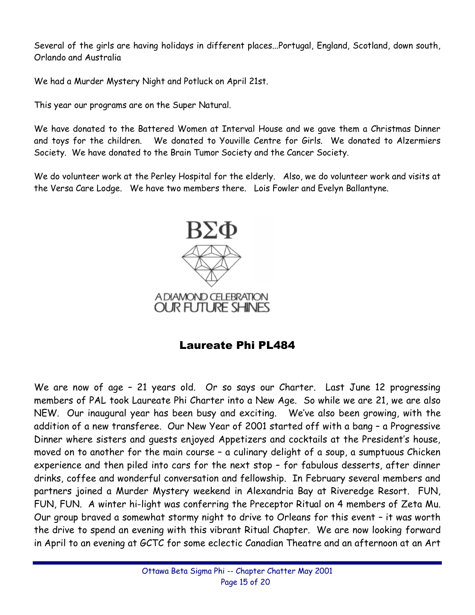Several of the girls are having holidays in different places...Portugal, England, Scotland, down south, Orlando and Australia

We had a Murder Mystery Night and Potluck on April 21st.

This year our programs are on the Super Natural.

We have donated to the Battered Women at Interval House and we gave them a Christmas Dinner and toys for the children. We donated to Youville Centre for Girls. We donated to Alzermiers Society. We have donated to the Brain Tumor Society and the Cancer Society.

We do volunteer work at the Perley Hospital for the elderly. Also, we do volunteer work and visits at the Versa Care Lodge. We have two members there. Lois Fowler and Evelyn Ballantyne.



## Laureate Phi PL484

We are now of age - 21 years old. Or so says our Charter. Last June 12 progressing members of PAL took Laureate Phi Charter into a New Age. So while we are 21, we are also NEW. Our inaugural year has been busy and exciting. Weíve also been growing, with the addition of a new transferee. Our New Year of 2001 started off with a bang - a Progressive Dinner where sisters and quests enjoyed Appetizers and cocktails at the President's house, moved on to another for the main course  $-$  a culinary delight of a soup, a sumptuous Chicken experience and then piled into cars for the next stop - for fabulous desserts, after dinner drinks, coffee and wonderful conversation and fellowship. In February several members and partners joined a Murder Mystery weekend in Alexandria Bay at Riveredge Resort. FUN, FUN, FUN. A winter hi-light was conferring the Preceptor Ritual on 4 members of Zeta Mu. Our group braved a somewhat stormy night to drive to Orleans for this event - it was worth the drive to spend an evening with this vibrant Ritual Chapter. We are now looking forward in April to an evening at GCTC for some eclectic Canadian Theatre and an afternoon at an Art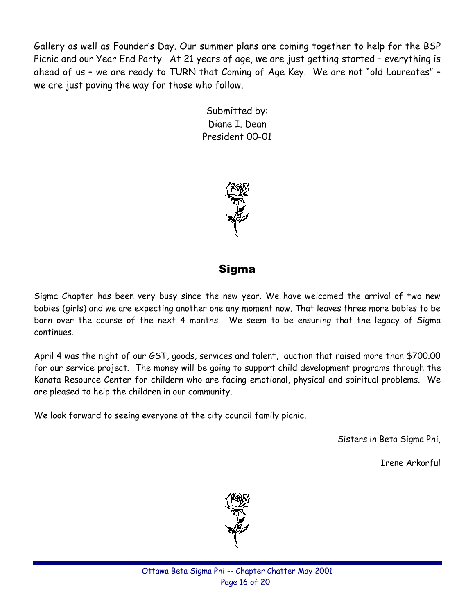Gallery as well as Founderís Day. Our summer plans are coming together to help for the BSP Picnic and our Year End Party. At 21 years of age, we are just getting started - everything is ahead of us - we are ready to TURN that Coming of Age Key. We are not "old Laureates" we are just paving the way for those who follow.

> Submitted by: Diane I. Dean President 00-01



## Sigma

Sigma Chapter has been very busy since the new year. We have welcomed the arrival of two new babies (girls) and we are expecting another one any moment now. That leaves three more babies to be born over the course of the next 4 months. We seem to be ensuring that the legacy of Sigma continues.

April 4 was the night of our GST, goods, services and talent, auction that raised more than \$700.00 for our service project. The money will be going to support child development programs through the Kanata Resource Center for childern who are facing emotional, physical and spiritual problems. We are pleased to help the children in our community.

We look forward to seeing everyone at the city council family picnic.

Sisters in Beta Sigma Phi,

Irene Arkorful

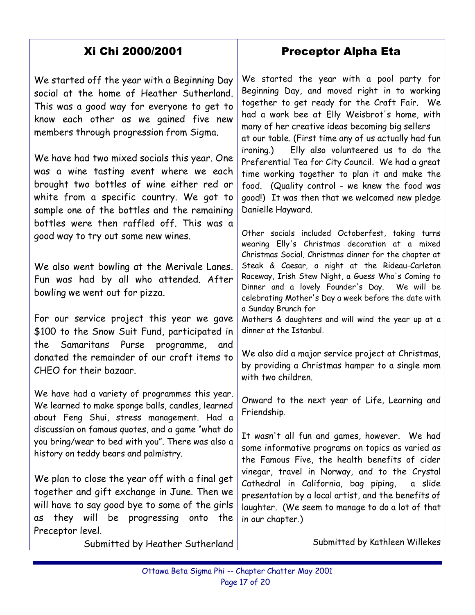## Xi Chi 2000/2001

We started off the year with a Beginning Day social at the home of Heather Sutherland. This was a good way for everyone to get to know each other as we gained five new members through progression from Sigma.

We have had two mixed socials this year. One was a wine tasting event where we each brought two bottles of wine either red or white from a specific country. We got to sample one of the bottles and the remaining bottles were then raffled off. This was a good way to try out some new wines.

We also went bowling at the Merivale Lanes. Fun was had by all who attended. After bowling we went out for pizza.

For our service project this year we gave \$100 to the Snow Suit Fund, participated in the Samaritans Purse programme, and donated the remainder of our craft items to CHEO for their bazaar.

We have had a variety of programmes this year. We learned to make sponge balls, candles, learned about Feng Shui, stress management. Had a discussion on famous quotes, and a game "what do you bring/wear to bed with you". There was also a history on teddy bears and palmistry.

We plan to close the year off with a final get together and gift exchange in June. Then we will have to say good bye to some of the girls as they will be progressing onto the Preceptor level.

Submitted by Heather Sutherland

## Preceptor Alpha Eta

We started the year with a pool party for Beginning Day, and moved right in to working together to get ready for the Craft Fair. We had a work bee at Elly Weisbrot's home, with many of her creative ideas becoming big sellers at our table. (First time any of us actually had fun ironing.) Elly also volunteered us to do the Preferential Tea for City Council. We had a great time working together to plan it and make the food. (Quality control - we knew the food was good!) It was then that we welcomed new pledge Danielle Hayward.

Other socials included Octoberfest, taking turns wearing Elly's Christmas decoration at a mixed Christmas Social, Christmas dinner for the chapter at Steak & Caesar, a night at the Rideau-Carleton Raceway, Irish Stew Night, a Guess Who's Coming to Dinner and a lovely Founder's Day. We will be celebrating Mother's Day a week before the date with a Sunday Brunch for

Mothers & daughters and will wind the year up at a dinner at the Istanbul.

We also did a major service project at Christmas, by providing a Christmas hamper to a single mom with two children.

Onward to the next year of Life, Learning and Friendship.

It wasn't all fun and games, however. We had some informative programs on topics as varied as the Famous Five, the health benefits of cider vinegar, travel in Norway, and to the Crystal Cathedral in California, bag piping, a slide presentation by a local artist, and the benefits of laughter. (We seem to manage to do a lot of that in our chapter.)

Submitted by Kathleen Willekes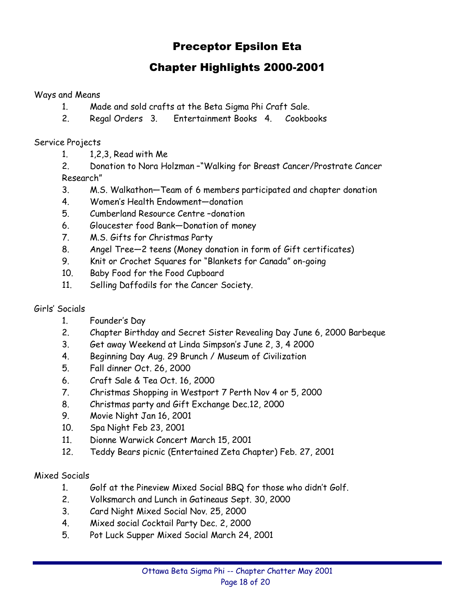## Preceptor Epsilon Eta

## Chapter Highlights 2000-2001

#### Ways and Means

- 1. Made and sold crafts at the Beta Sigma Phi Craft Sale.
- 2. Regal Orders 3. Entertainment Books 4. Cookbooks

#### Service Projects

- 1. 1,2,3, Read with Me
- 2. Donation to Nora Holzman -"Walking for Breast Cancer/Prostrate Cancer Research"
- 3. M.S. Walkathon–Team of 6 members participated and chapter donation
- 4. Women's Health Endowment-donation
- 5. Cumberland Resource Centre-donation
- 6. Gloucester food Bank-Donation of money
- 7. M.S. Gifts for Christmas Party
- 8. Angel Tree–2 teens (Money donation in form of Gift certificates)
- 9. Knit or Crochet Squares for "Blankets for Canada" on-going
- 10. Baby Food for the Food Cupboard
- 11. Selling Daffodils for the Cancer Society.

#### Girlsí Socials

- 1. Founderís Day
- 2. Chapter Birthday and Secret Sister Revealing Day June 6, 2000 Barbeque
- 3. Get away Weekend at Linda Simpsonís June 2, 3, 4 2000
- 4. Beginning Day Aug. 29 Brunch / Museum of Civilization
- 5. Fall dinner Oct. 26, 2000
- 6. Craft Sale & Tea Oct. 16, 2000
- 7. Christmas Shopping in Westport 7 Perth Nov 4 or 5, 2000
- 8. Christmas party and Gift Exchange Dec.12, 2000
- 9. Movie Night Jan 16, 2001
- 10. Spa Night Feb 23, 2001
- 11. Dionne Warwick Concert March 15, 2001
- 12. Teddy Bears picnic (Entertained Zeta Chapter) Feb. 27, 2001

#### Mixed Socials

- 1. Golf at the Pineview Mixed Social BBQ for those who didnít Golf.
- 2. Volksmarch and Lunch in Gatineaus Sept. 30, 2000
- 3. Card Night Mixed Social Nov. 25, 2000
- 4. Mixed social Cocktail Party Dec. 2, 2000
- 5. Pot Luck Supper Mixed Social March 24, 2001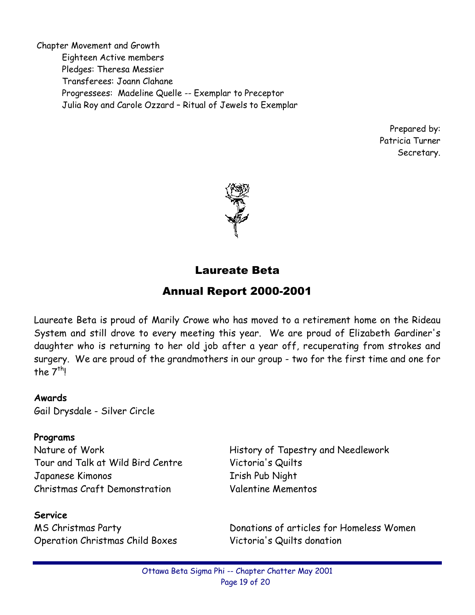Chapter Movement and Growth Eighteen Active members Pledges: Theresa Messier Transferees: Joann Clahane Progressees: Madeline Quelle -- Exemplar to Preceptor Julia Roy and Carole Ozzard - Ritual of Jewels to Exemplar

> Prepared by: Patricia Turner Secretary.



## Laureate Beta

## Annual Report 2000-2001

Laureate Beta is proud of Marily Crowe who has moved to a retirement home on the Rideau System and still drove to every meeting this year. We are proud of Elizabeth Gardiner's daughter who is returning to her old job after a year off, recuperating from strokes and surgery. We are proud of the grandmothers in our group - two for the first time and one for the  $7<sup>th</sup>l$ 

#### **Awards**

Gail Drysdale - Silver Circle

#### **Programs**

Tour and Talk at Wild Bird Centre Victoria's Quilts Japanese Kimonos Irish Pub Night Christmas Craft Demonstration Valentine Mementos

#### **Service**

Operation Christmas Child Boxes Victoria's Quilts donation

Nature of Work **History of Tapestry and Needlework** 

MS Christmas Party **Natural Exercise State Inc.** Donations of articles for Homeless Women